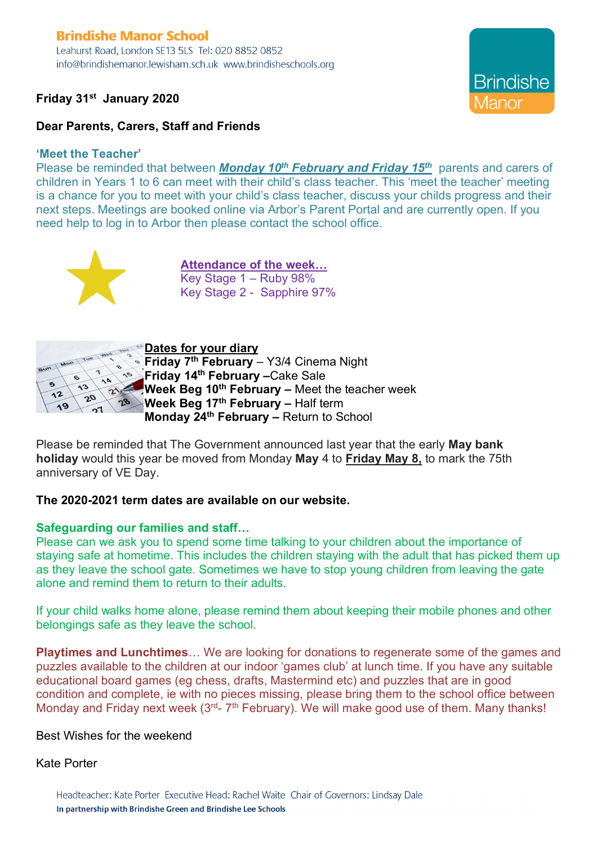# **Brindishe Manor School**

Leahurst Road, London SE13 5LS Tel: 020 8852 0852 info@brindishemanor.lewisham.sch.uk www.brindisheschools.org

## **Friday 31st January 2020**



## **Dear Parents, Carers, Staff and Friends**

#### **'Meet the Teacher'**

Please be reminded that between *Monday 10th February and Friday 15th* parents and carers of children in Years 1 to 6 can meet with their child's class teacher. This 'meet the teacher' meeting is a chance for you to meet with your child's class teacher, discuss your childs progress and their next steps. Meetings are booked online via Arbor's Parent Portal and are currently open. If you need help to log in to Arbor then please contact the school office.



**Attendance of the week…** Key Stage 1 – Ruby 98% Key Stage 2 - Sapphire 97%



#### **Dates for your diary**

**Friday 7th February** – Y3/4 Cinema Night **Friday 14th February –**Cake Sale **Week Beg 10th February –** Meet the teacher week **Week Beg 17th February –** Half term **Monday 24th February –** Return to School

Please be reminded that The Government announced last year that the early **May bank holiday** would this year be moved from Monday **May** 4 to **Friday May 8,** to mark the 75th anniversary of VE Day.

## **The 2020-2021 term dates are available on our website.**

## **Safeguarding our families and staff…**

Please can we ask you to spend some time talking to your children about the importance of staying safe at hometime. This includes the children staying with the adult that has picked them up as they leave the school gate. Sometimes we have to stop young children from leaving the gate alone and remind them to return to their adults.

If your child walks home alone, please remind them about keeping their mobile phones and other belongings safe as they leave the school.

**Playtimes and Lunchtimes**… We are looking for donations to regenerate some of the games and puzzles available to the children at our indoor 'games club' at lunch time. If you have any suitable educational board games (eg chess, drafts, Mastermind etc) and puzzles that are in good condition and complete, ie with no pieces missing, please bring them to the school office between Monday and Friday next week  $(3<sup>rd</sup>- 7<sup>th</sup> February)$ . We will make good use of them. Many thanks!

## Best Wishes for the weekend

#### Kate Porter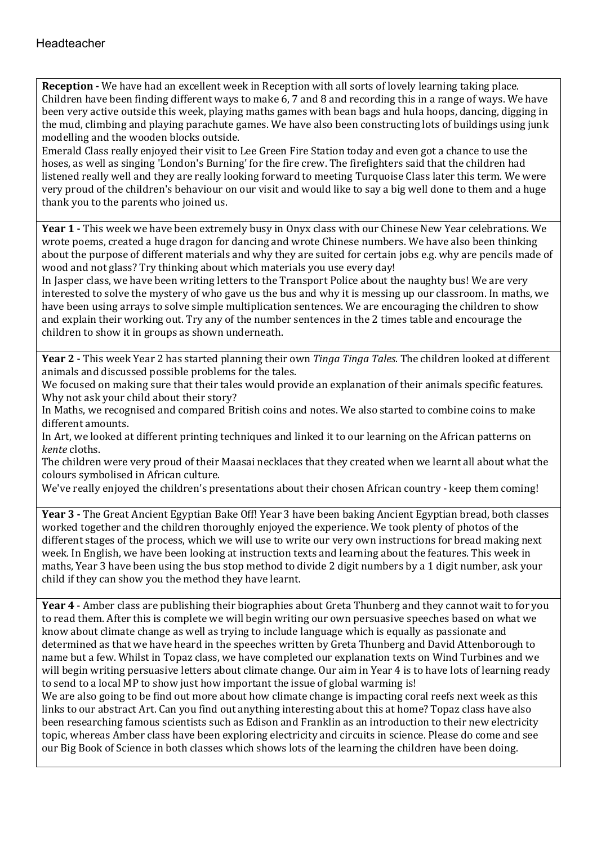**Reception -** We have had an excellent week in Reception with all sorts of lovely learning taking place. Children have been finding different ways to make 6, 7 and 8 and recording this in a range of ways. We have been very active outside this week, playing maths games with bean bags and hula hoops, dancing, digging in the mud, climbing and playing parachute games. We have also been constructing lots of buildings using junk modelling and the wooden blocks outside.

Emerald Class really enjoyed their visit to Lee Green Fire Station today and even got a chance to use the hoses, as well as singing 'London's Burning' for the fire crew. The firefighters said that the children had listened really well and they are really looking forward to meeting Turquoise Class later this term. We were very proud of the children's behaviour on our visit and would like to say a big well done to them and a huge thank you to the parents who joined us.

**Year 1 -** This week we have been extremely busy in Onyx class with our Chinese New Year celebrations. We wrote poems, created a huge dragon for dancing and wrote Chinese numbers. We have also been thinking about the purpose of different materials and why they are suited for certain jobs e.g. why are pencils made of wood and not glass? Try thinking about which materials you use every day!

In Jasper class, we have been writing letters to the Transport Police about the naughty bus! We are very interested to solve the mystery of who gave us the bus and why it is messing up our classroom. In maths, we have been using arrays to solve simple multiplication sentences. We are encouraging the children to show and explain their working out. Try any of the number sentences in the 2 times table and encourage the children to show it in groups as shown underneath.

**Year 2** - This week Year 2 has started planning their own *Tinga Tinga Tales*. The children looked at different animals and discussed possible problems for the tales.

We focused on making sure that their tales would provide an explanation of their animals specific features. Why not ask your child about their story?

In Maths, we recognised and compared British coins and notes. We also started to combine coins to make different amounts.

In Art, we looked at different printing techniques and linked it to our learning on the African patterns on *kente* cloths.

The children were very proud of their Maasai necklaces that they created when we learnt all about what the colours symbolised in African culture.

We've really enjoyed the children's presentations about their chosen African country - keep them coming!

**Year 3 -** The Great Ancient Egyptian Bake Off! Year 3 have been baking Ancient Egyptian bread, both classes worked together and the children thoroughly enjoyed the experience. We took plenty of photos of the different stages of the process, which we will use to write our very own instructions for bread making next week. In English, we have been looking at instruction texts and learning about the features. This week in maths, Year 3 have been using the bus stop method to divide 2 digit numbers by a 1 digit number, ask your child if they can show you the method they have learnt.

**Year 4** - Amber class are publishing their biographies about Greta Thunberg and they cannot wait to for you to read them. After this is complete we will begin writing our own persuasive speeches based on what we know about climate change as well as trying to include language which is equally as passionate and determined as that we have heard in the speeches written by Greta Thunberg and David Attenborough to name but a few. Whilst in Topaz class, we have completed our explanation texts on Wind Turbines and we will begin writing persuasive letters about climate change. Our aim in Year 4 is to have lots of learning ready to send to a local MP to show just how important the issue of global warming is!

We are also going to be find out more about how climate change is impacting coral reefs next week as this links to our abstract Art. Can you find out anything interesting about this at home? Topaz class have also been researching famous scientists such as Edison and Franklin as an introduction to their new electricity topic, whereas Amber class have been exploring electricity and circuits in science. Please do come and see our Big Book of Science in both classes which shows lots of the learning the children have been doing.